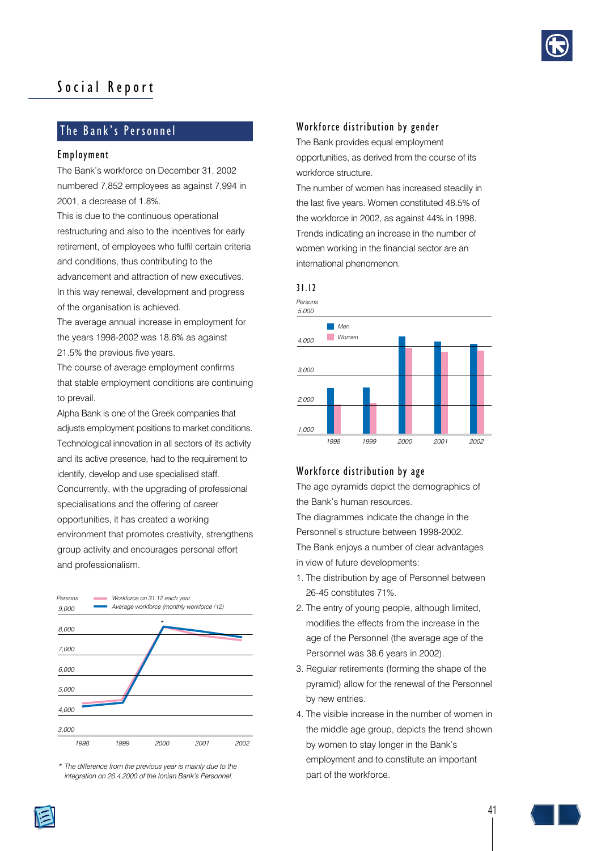

# Social Report

# The Bank's Personnel

#### Employment

The Bank's workforce on December 31, 2002 numbered 7,852 employees as against 7,994 in 2001, a decrease of 1.8%.

This is due to the continuous operational restructuring and also to the incentives for early retirement, of employees who fulfil certain criteria and conditions, thus contributing to the advancement and attraction of new executives. In this way renewal, development and progress

of the organisation is achieved.

The average annual increase in employment for the years 1998-2002 was 18.6% as against 21.5% the previous five years.

The course of average employment confirms that stable employment conditions are continuing to prevail.

Alpha Bank is one of the Greek companies that adjusts employment positions to market conditions. Technological innovation in all sectors of its activity and its active presence, had to the requirement to identify, develop and use specialised staff.

Concurrently, with the upgrading of professional specialisations and the offering of career opportunities, it has created a working environment that promotes creativity, strengthens group activity and encourages personal effort and professionalism.



*\* The difference from the previous year is mainly due to the integration on 26.4.2000 of the Ionian Bank's Personnel.*

## Workforce distribution by gender

The Bank provides equal employment opportunities, as derived from the course of its workforce structure.

The number of women has increased steadily in the last five years. Women constituted 48.5% of the workforce in 2002, as against 44% in 1998. Trends indicating an increase in the number of women working in the financial sector are an international phenomenon.



## Workforce distribution by age

The age pyramids depict the demographics of the Bank's human resources.

The diagrammes indicate the change in the Personnel's structure between 1998-2002. The Bank enjoys a number of clear advantages in view of future developments:

- 1. The distribution by age of Personnel between 26-45 constitutes 71%.
- 2. The entry of young people, although limited, modifies the effects from the increase in the age of the Personnel (the average age of the Personnel was 38.6 years in 2002).
- 3. Regular retirements (forming the shape of the pyramid) allow for the renewal of the Personnel by new entries.
- 4. The visible increase in the number of women in the middle age group, depicts the trend shown by women to stay longer in the Bank's employment and to constitute an important part of the workforce.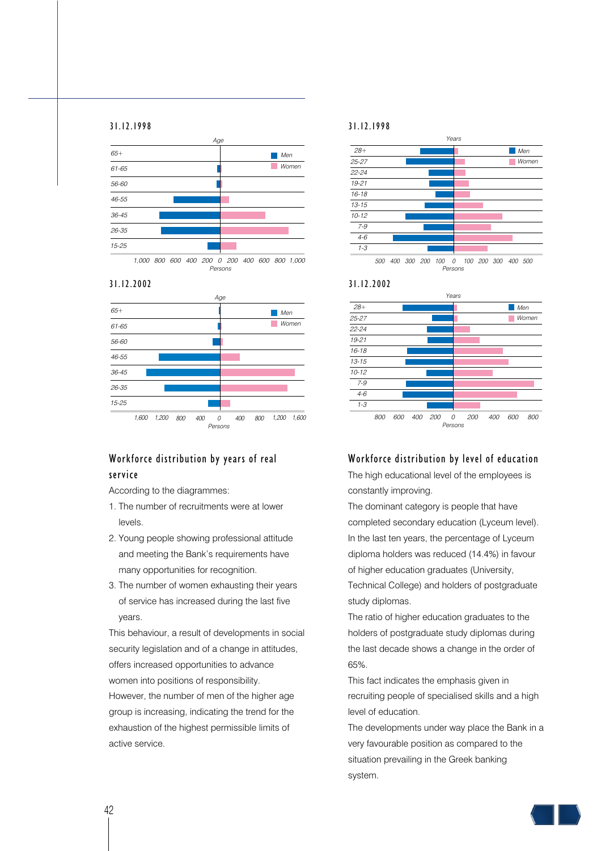#### 31.12.1998







# Workforce distribution by years of real service

According to the diagrammes:

- 1. The number of recruitments were at lower levels.
- 2. Young people showing professional attitude and meeting the Bank's requirements have many opportunities for recognition.
- 3. The number of women exhausting their years of service has increased during the last five years.

This behaviour, a result of developments in social security legislation and of a change in attitudes. offers increased opportunities to advance women into positions of responsibility. However, the number of men of the higher age group is increasing, indicating the trend for the exhaustion of the highest permissible limits of active service.

#### 31.12.1998







## Workforce distribution by level of education

The high educational level of the employees is constantly improving.

The dominant category is people that have completed secondary education (Lyceum level). In the last ten years, the percentage of Lyceum diploma holders was reduced (14.4%) in favour of higher education graduates (University, Technical College) and holders of postgraduate study diplomas.

The ratio of higher education graduates to the holders of postgraduate study diplomas during the last decade shows a change in the order of 65%.

This fact indicates the emphasis given in recruiting people of specialised skills and a high level of education.

The developments under way place the Bank in a very favourable position as compared to the situation prevailing in the Greek banking system.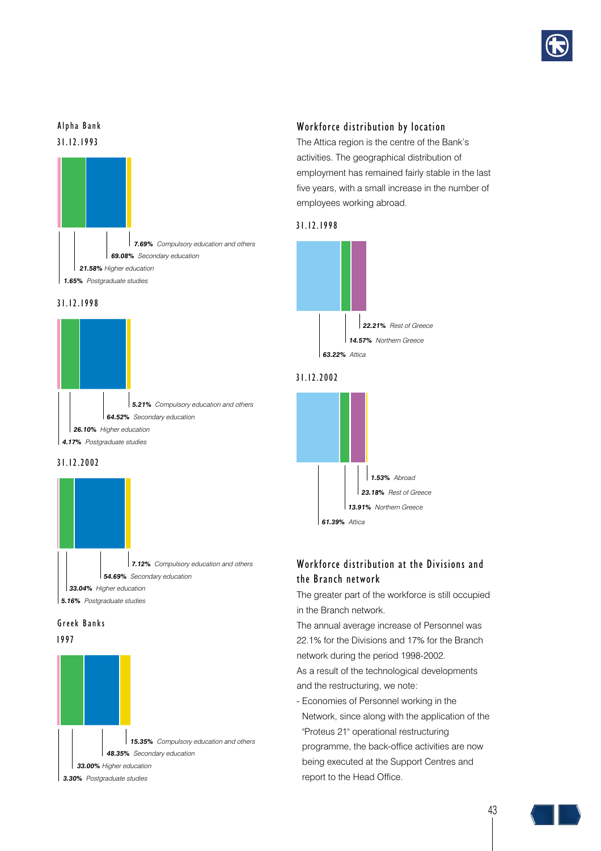

# 31.12.1993 Alpha Bank















# Workforce distribution by location

The Attica region is the centre of the Bank's activities. The geographical distribution of employment has remained fairly stable in the last five years, with a small increase in the number of employees working abroad.

## 31.12.1998



## 31.12.2002



# Workforce distribution at the Divisions and the Branch network

The greater part of the workforce is still occupied in the Branch network.

The annual average increase of Personnel was 22.1% for the Divisions and 17% for the Branch network during the period 1998-2002.

As a result of the technological developments and the restructuring, we note:

- Economies of Personnel working in the Network, since along with the application of the "Proteus 21" operational restructuring programme, the back-office activities are now being executed at the Support Centres and report to the Head Office.

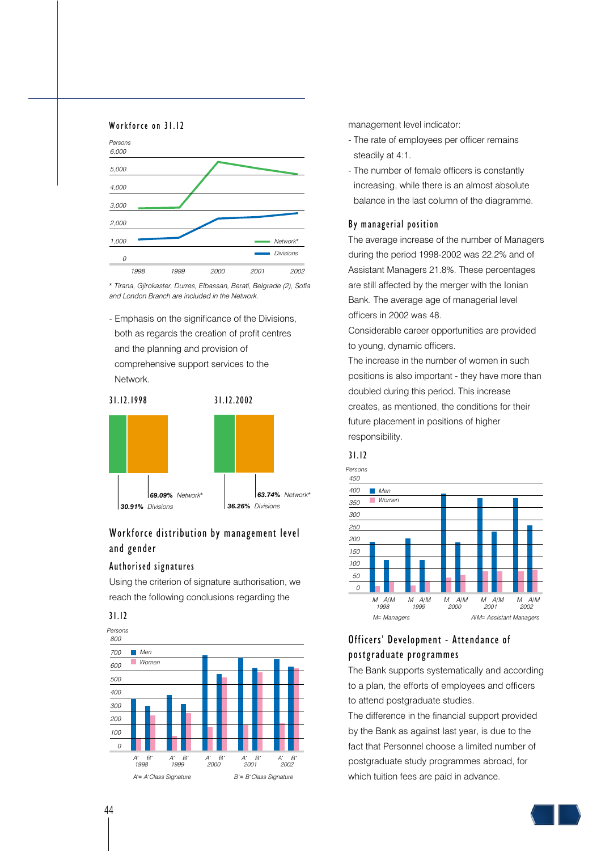#### Workforce on 31.12



*\* Tirana, Gjirokaster, Durres, Elbassan, Berati, Belgrade (2), Sofia and London Branch are included in the Network.*

- Emphasis on the significance of the Divisions, both as regards the creation of profit centres and the planning and provision of comprehensive support services to the Network.



# Workforce distribution by management level and gender

#### Authorised signatures

Using the criterion of signature authorisation, we reach the following conclusions regarding the





management level indicator:

- The rate of employees per officer remains steadily at 4:1.
- The number of female officers is constantly increasing, while there is an almost absolute balance in the last column of the diagramme.

### By managerial position

The average increase of the number of Managers during the period 1998-2002 was 22.2% and of Assistant Managers 21.8%. These percentages are still affected by the merger with the Ionian Bank. The average age of managerial level officers in 2002 was 48.

Considerable career opportunities are provided to young, dynamic officers.

The increase in the number of women in such positions is also important - they have more than doubled during this period. This increase creates, as mentioned, the conditions for their future placement in positions of higher responsibility.





# Officers' Development - Attendance of postgraduate programmes

The Bank supports systematically and according to a plan, the efforts of employees and officers to attend postgraduate studies.

The difference in the financial support provided by the Bank as against last year, is due to the fact that Personnel choose a limited number of postgraduate study programmes abroad, for which tuition fees are paid in advance.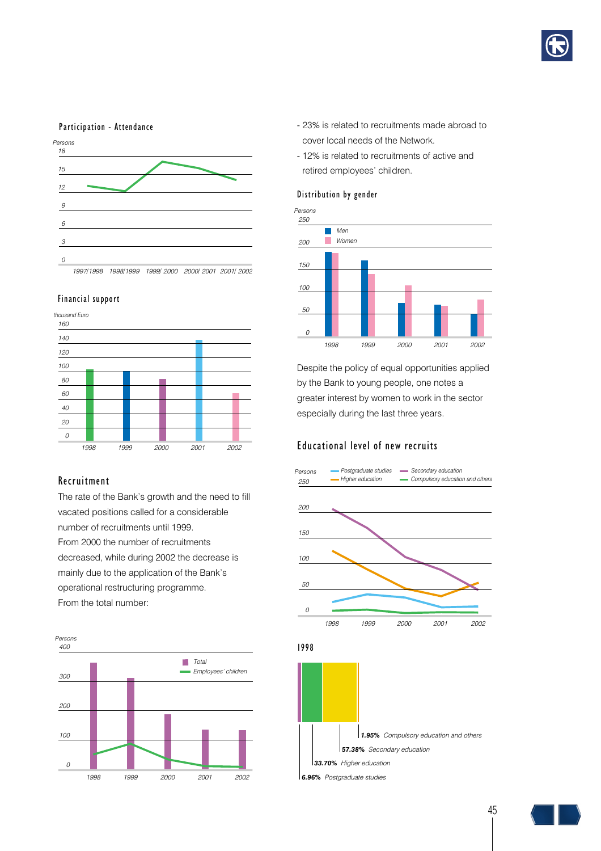

#### Participation - Attendance



#### Financial support



## Recruitment

The rate of the Bank's growth and the need to fill vacated positions called for a considerable number of recruitments until 1999. From 2000 the number of recruitments decreased, while during 2002 the decrease is mainly due to the application of the Bank's operational restructuring programme. From the total number:



- 23% is related to recruitments made abroad to cover local needs of the Network.
- 12% is related to recruitments of active and retired employees' children.

#### Distribution by gender



Despite the policy of equal opportunities applied by the Bank to young people, one notes a greater interest by women to work in the sector especially during the last three years.

#### Educational level of new recruits



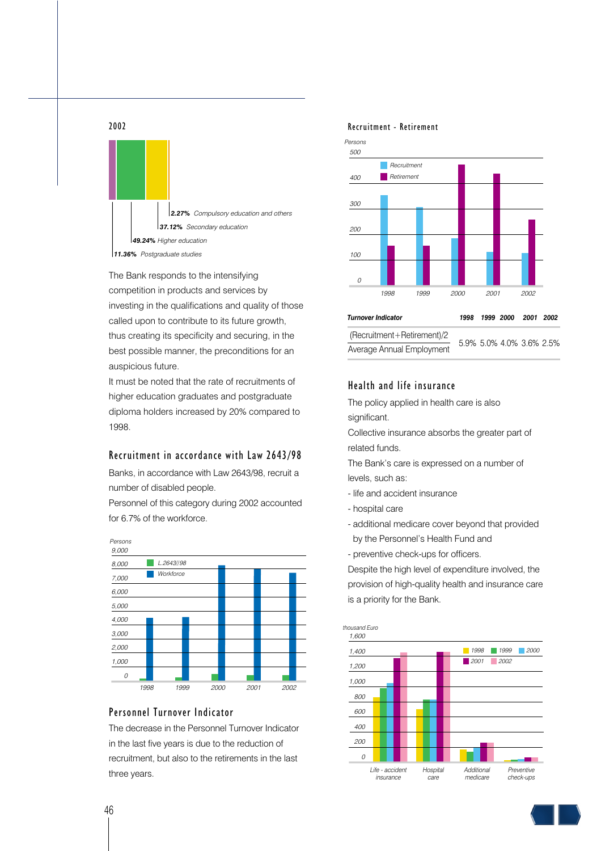

The Bank responds to the intensifying competition in products and services by investing in the qualifications and quality of those called upon to contribute to its future growth, thus creating its specificity and securing, in the best possible manner, the preconditions for an auspicious future.

It must be noted that the rate of recruitments of higher education graduates and postgraduate diploma holders increased by 20% compared to 1998.

#### Recruitment in accordance with Law 2643/98

Banks, in accordance with Law 2643/98, recruit a number of disabled people.

Personnel of this category during 2002 accounted for 6.7% of the workforce.



## Personnel Turnover Indicator

The decrease in the Personnel Turnover Indicator in the last five years is due to the reduction of recruitment, but also to the retirements in the last three years.

#### Recruitment - Retirement



## Health and life insurance

The policy applied in health care is also significant.

Collective insurance absorbs the greater part of related funds.

The Bank's care is expressed on a number of levels, such as:

- life and accident insurance
- hospital care
- additional medicare cover beyond that provided by the Personnel's Health Fund and
- preventive check-ups for officers.

Despite the high level of expenditure involved, the provision of high-quality health and insurance care is a priority for the Bank.

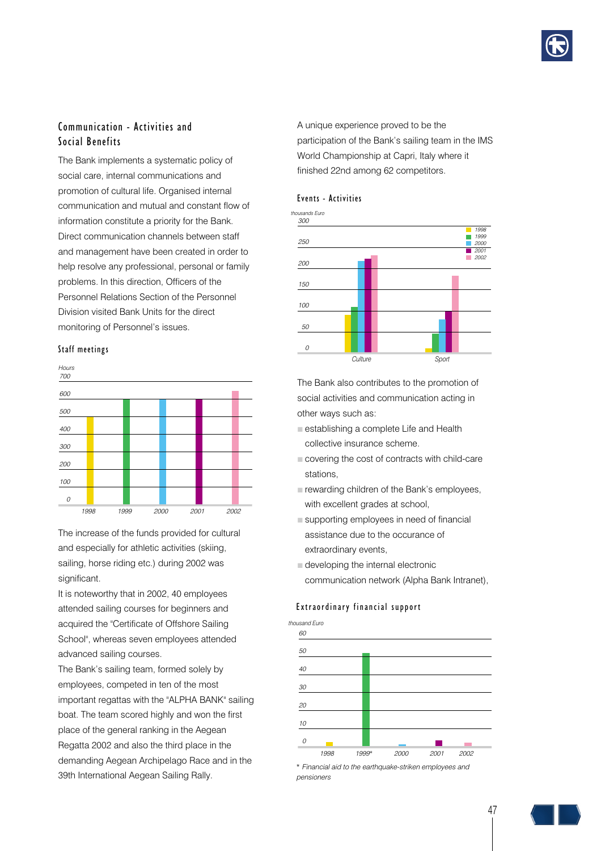

# Communication - Activities and Social Benefits

The Bank implements a systematic policy of social care, internal communications and promotion of cultural life. Organised internal communication and mutual and constant flow of information constitute a priority for the Bank. Direct communication channels between staff and management have been created in order to help resolve any professional, personal or family problems. In this direction, Officers of the Personnel Relations Section of the Personnel Division visited Bank Units for the direct monitoring of Personnel's issues.

#### Staff meetings *<sup>0</sup>*



The increase of the funds provided for cultural and especially for athletic activities (skiing, sailing, horse riding etc.) during 2002 was significant.

It is noteworthy that in 2002, 40 employees attended sailing courses for beginners and acquired the "Certificate of Offshore Sailing School", whereas seven employees attended advanced sailing courses.

The Bank's sailing team, formed solely by employees, competed in ten of the most important regattas with the "ALPHA BANK" sailing boat. The team scored highly and won the first place of the general ranking in the Aegean Regatta 2002 and also the third place in the demanding Aegean Archipelago Race and in the 39th International Aegean Sailing Rally.

A unique experience proved to be the participation of the Bank's sailing team in the IMS World Championship at Capri, Italy where it finished 22nd among 62 competitors.





The Bank also contributes to the promotion of social activities and communication acting in other ways such as:

- **B** establishing a complete Life and Health collective insurance scheme.
- $\blacksquare$  covering the cost of contracts with child-care stations,
- $\square$  rewarding children of the Bank's employees, with excellent grades at school,
- $B$  supporting employees in need of financial assistance due to the occurance of extraordinary events,
- $\blacksquare$  developing the internal electronic communication network (Alpha Bank Intranet),

#### Extraordinary financial support



*\* Financial aid to the earthquake-striken employees and pensioners*

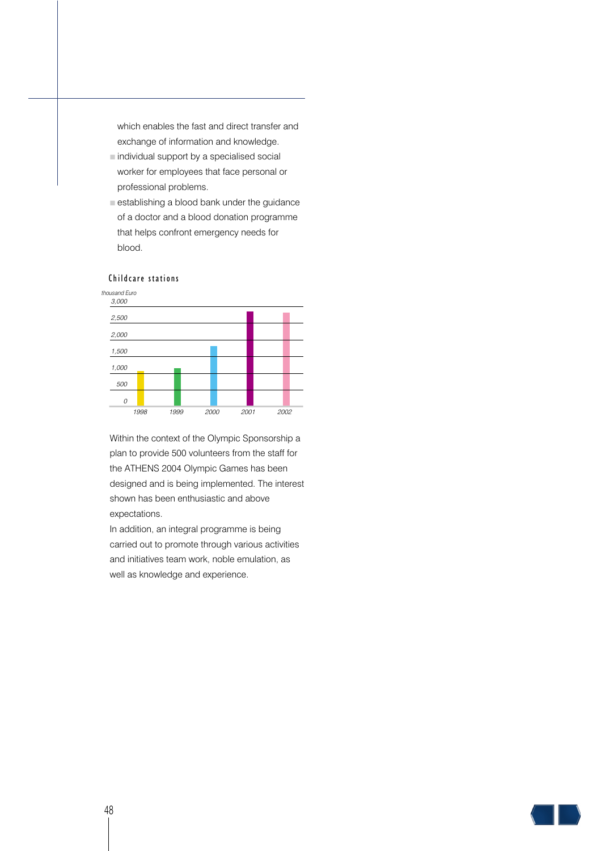which enables the fast and direct transfer and exchange of information and knowledge.

- $\blacksquare$  individual support by a specialised social worker for employees that face personal or professional problems.
- $\blacksquare$  establishing a blood bank under the guidance of a doctor and a blood donation programme that helps confront emergency needs for blood.



#### Childcare stations

Within the context of the Olympic Sponsorship a plan to provide 500 volunteers from the staff for the ATHENS 2004 Olympic Games has been designed and is being implemented. The interest shown has been enthusiastic and above expectations.

In addition, an integral programme is being carried out to promote through various activities and initiatives team work, noble emulation, as well as knowledge and experience.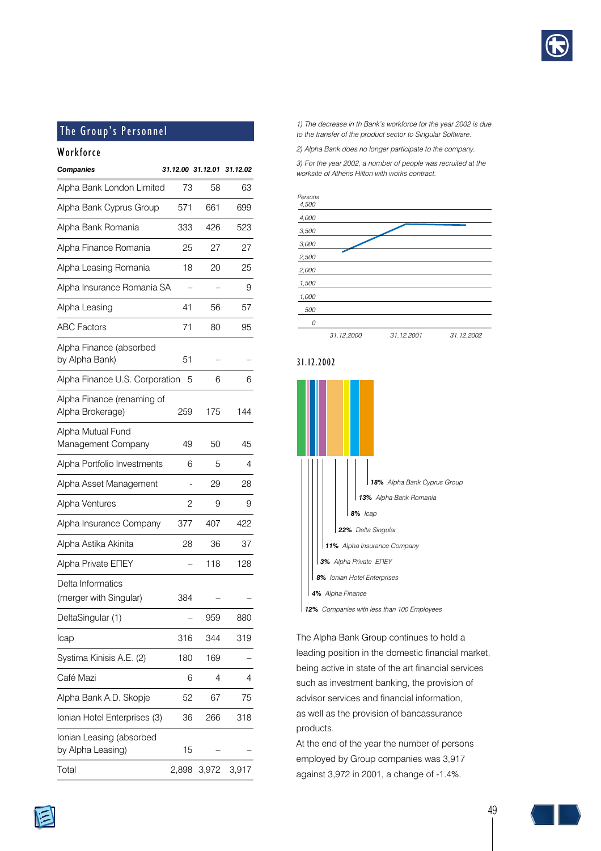

# The Group's Personnel

# Workforce

| <b>Companies</b>                               | 31.12.00 31.12.01 |       | 31.12.02 |
|------------------------------------------------|-------------------|-------|----------|
| Alpha Bank London Limited                      | 73                | 58    | 63       |
| Alpha Bank Cyprus Group                        | 571               | 661   | 699      |
| Alpha Bank Romania                             | 333               | 426   | 523      |
| Alpha Finance Romania                          | 25                | 27    | 27       |
| Alpha Leasing Romania                          | 18                | 20    | 25       |
| Alpha Insurance Romania SA                     |                   |       | 9        |
| Alpha Leasing                                  | 41                | 56    | 57       |
| <b>ABC Factors</b>                             | 71                | 80    | 95       |
| Alpha Finance (absorbed<br>by Alpha Bank)      | 51                |       |          |
| Alpha Finance U.S. Corporation                 | 5                 | 6     | 6        |
| Alpha Finance (renaming of<br>Alpha Brokerage) | 259               | 175   | 144      |
| Alpha Mutual Fund<br>Management Company        | 49                | 50    | 45       |
| Alpha Portfolio Investments                    | 6                 | 5     | 4        |
| Alpha Asset Management                         |                   | 29    | 28       |
| Alpha Ventures                                 | 2                 | 9     | 9        |
| Alpha Insurance Company                        | 377               | 407   | 422      |
| Alpha Astika Akinita                           | 28                | 36    | 37       |
| Alpha Private ENEY                             |                   | 118   | 128      |
| Delta Informatics<br>(merger with Singular)    | 384               |       |          |
| DeltaSingular (1)                              |                   | 959   | 880      |
| Icap                                           | 316               | 344   | 319      |
| Systima Kinisis A.E. (2)                       | 180               | 169   |          |
| Café Mazi                                      | 6                 | 4     | 4        |
| Alpha Bank A.D. Skopje                         | 52                | 67    | 75       |
| Ionian Hotel Enterprises (3)                   | 36                | 266   | 318      |
| Ionian Leasing (absorbed<br>by Alpha Leasing)  | 15                |       |          |
| Total                                          | 2,898             | 3,972 | 3,917    |

*1) The decrease in th Bank's workforce for the year 2002 is due to the transfer of the product sector to Singular Software.*

*2) Alpha Bank does no longer participate to the company.*

*3) For the year 2002, a number of people was recruited at the worksite of Athens Hilton with works contract.*



### 31.12.2002



The Alpha Bank Group continues to hold a leading position in the domestic financial market, being active in state of the art financial services such as investment banking, the provision of advisor services and financial information, as well as the provision of bancassurance products.

At the end of the year the number of persons employed by Group companies was 3,917 against 3,972 in 2001, a change of -1.4%.



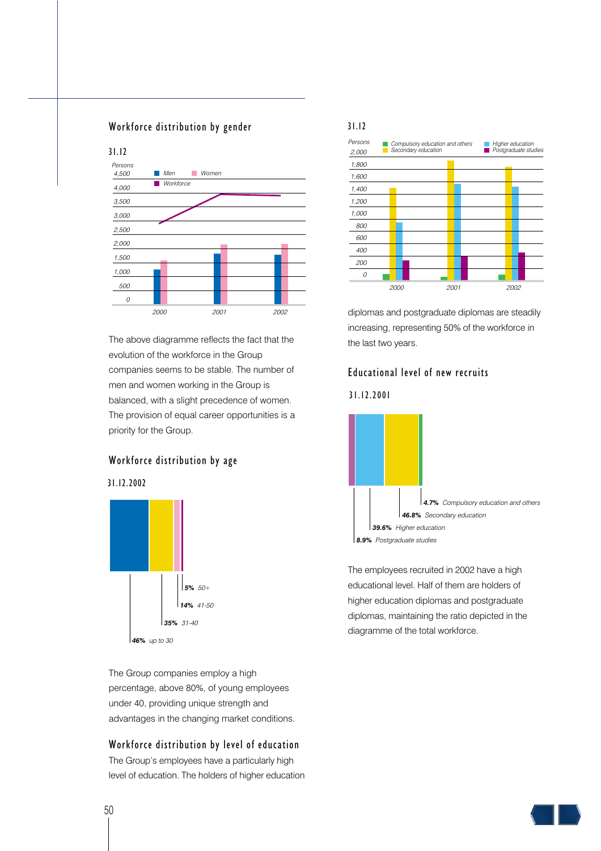## Workforce distribution by gender



The above diagramme reflects the fact that the evolution of the workforce in the Group companies seems to be stable. The number of men and women working in the Group is balanced, with a slight precedence of women. The provision of equal career opportunities is a priority for the Group.

### Workforce distribution by age





The Group companies employ a high percentage, above 80%, of young employees under 40, providing unique strength and advantages in the changing market conditions.

## Workforce distribution by level of education

The Group's employees have a particularly high level of education. The holders of higher education



diplomas and postgraduate diplomas are steadily increasing, representing 50% of the workforce in the last two years.

## Educational level of new recruits

31.12.2001



The employees recruited in 2002 have a high educational level. Half of them are holders of higher education diplomas and postgraduate diplomas, maintaining the ratio depicted in the diagramme of the total workforce.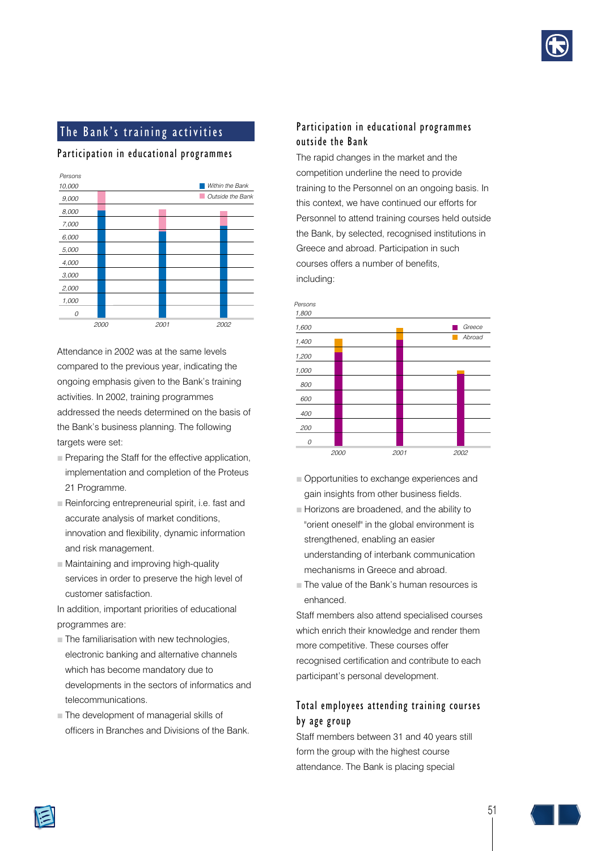

# The Bank's training activities

## Participation in educational programmes



Attendance in 2002 was at the same levels compared to the previous year, indicating the ongoing emphasis given to the Bank's training activities. In 2002, training programmes addressed the needs determined on the basis of the Bank's business planning. The following targets were set:

- $\blacksquare$  Preparing the Staff for the effective application, implementation and completion of the Proteus 21 Programme.
- $\blacksquare$  Reinforcing entrepreneurial spirit, i.e. fast and accurate analysis of market conditions, innovation and flexibility, dynamic information and risk management.
- $\blacksquare$  Maintaining and improving high-quality services in order to preserve the high level of customer satisfaction.

In addition, important priorities of educational programmes are:

- $\blacksquare$  The familiarisation with new technologies, electronic banking and alternative channels which has become mandatory due to developments in the sectors of informatics and telecommunications.
- $\Box$  The development of managerial skills of officers in Branches and Divisions of the Bank.

## Participation in educational programmes outside the Bank

The rapid changes in the market and the competition underline the need to provide training to the Personnel on an ongoing basis. In this context, we have continued our efforts for Personnel to attend training courses held outside the Bank, by selected, recognised institutions in Greece and abroad. Participation in such courses offers a number of benefits, including:



- $\blacksquare$  Opportunities to exchange experiences and gain insights from other business fields.
- **B** Horizons are broadened, and the ability to "orient oneself" in the global environment is strengthened, enabling an easier understanding of interbank communication mechanisms in Greece and abroad.
- **The value of the Bank's human resources is** enhanced.

Staff members also attend specialised courses which enrich their knowledge and render them more competitive. These courses offer recognised certification and contribute to each participant's personal development.

# Total employees attending training courses by age group

Staff members between 31 and 40 years still form the group with the highest course attendance. The Bank is placing special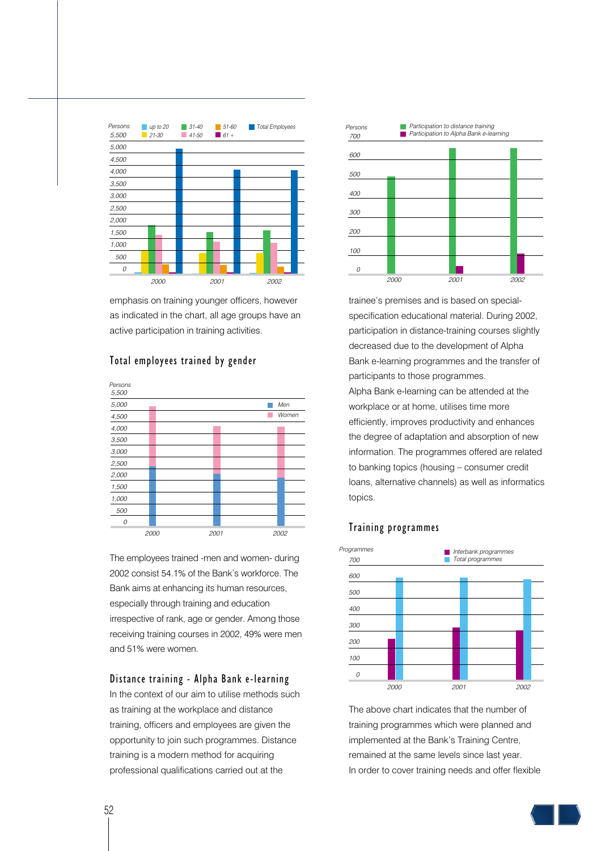

emphasis on training younger officers, however as indicated in the chart, all age groups have an active participation in training activities.



Total employees trained by gender

The employees trained -men and women- during 2002 consist 54.1% of the Bank's workforce. The Bank aims at enhancing its human resources, especially through training and education irrespective of rank, age or gender. Among those receiving training courses in 2002, 49% were men and 51% were women.

## Distance training - Alpha Bank e-learning

In the context of our aim to utilise methods such as training at the workplace and distance training, officers and employees are given the opportunity to join such programmes. Distance training is a modern method for acquiring professional qualifications carried out at the



trainee's premises and is based on specialspecification educational material. During 2002, participation in distance-training courses slightly decreased due to the development of Alpha Bank e-learning programmes and the transfer of participants to those programmes. Alpha Bank e-learning can be attended at the workplace or at home, utilises time more efficiently, improves productivity and enhances the degree of adaptation and absorption of new information. The programmes offered are related to banking topics (housing – consumer credit loans, alternative channels) as well as informatics topics.

## Training programmes



The above chart indicates that the number of training programmes which were planned and implemented at the Bank's Training Centre, remained at the same levels since last year. In order to cover training needs and offer flexible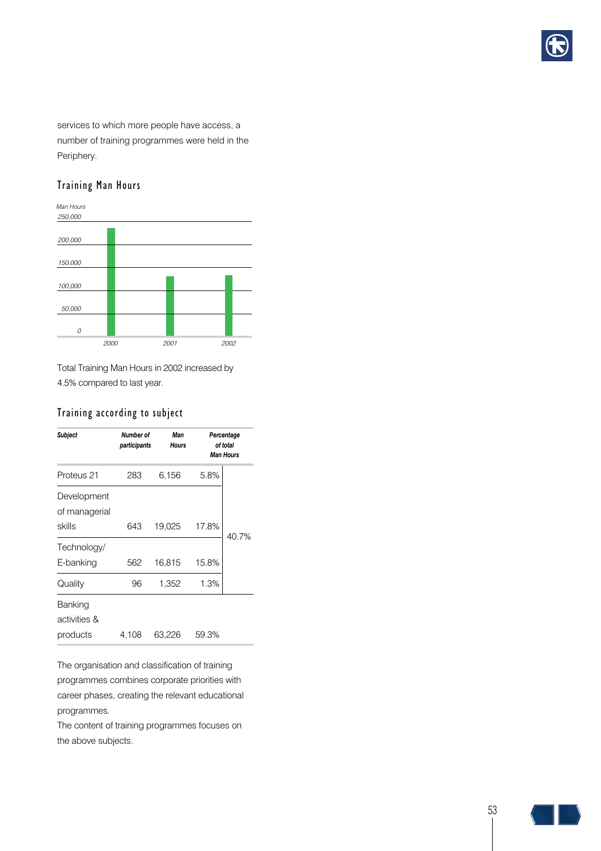

services to which more people have access, a number of training programmes were held in the Periphery.

# Training Man Hours



Total Training Man Hours in 2002 increased by 4.5% compared to last year.

# Training according to subject

| Subject                                | Number of<br>participants | Man<br><b>Hours</b> | Percentage<br>of total<br><b>Man Hours</b> |       |
|----------------------------------------|---------------------------|---------------------|--------------------------------------------|-------|
| Proteus 21                             | 283                       | 6,156               | 5.8%                                       |       |
| Development<br>of managerial<br>skills | 643                       | 19,025              | 17.8%                                      |       |
| Technology/<br>E-banking               | 562                       | 16,815              | 15.8%                                      | 40.7% |
| Quality                                | 96                        | 1,352               | 1.3%                                       |       |
| Banking<br>activities &<br>products    | 4,108                     | 63,226              | 59.3%                                      |       |

The organisation and classification of training programmes combines corporate priorities with career phases, creating the relevant educational programmes.

The content of training programmes focuses on the above subjects.

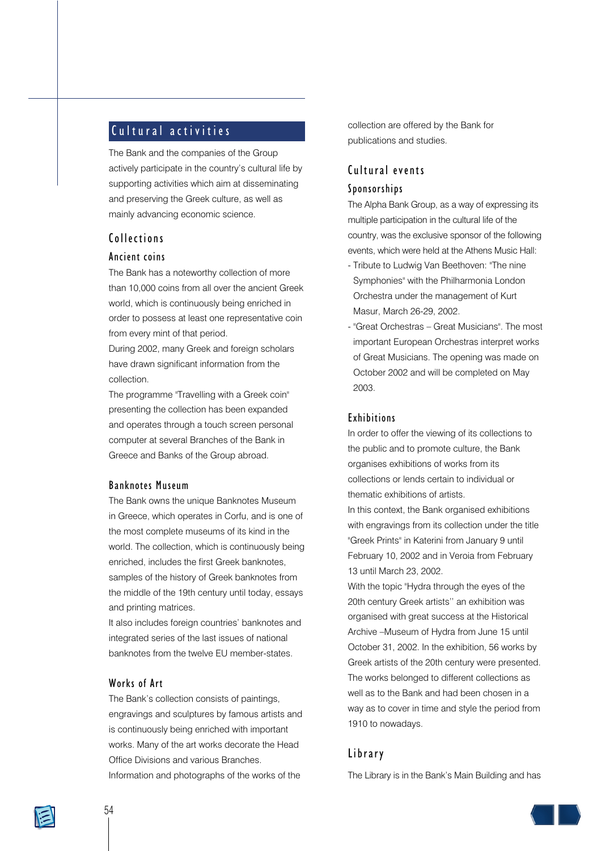# Cultural activities

The Bank and the companies of the Group actively participate in the country's cultural life by supporting activities which aim at disseminating and preserving the Greek culture, as well as mainly advancing economic science.

# Collections

## Ancient coins

The Bank has a noteworthy collection of more than 10,000 coins from all over the ancient Greek world, which is continuously being enriched in order to possess at least one representative coin from every mint of that period.

During 2002, many Greek and foreign scholars have drawn significant information from the collection.

The programme "Travelling with a Greek coin" presenting the collection has been expanded and operates through a touch screen personal computer at several Branches of the Bank in Greece and Banks of the Group abroad.

#### Banknotes Museum

The Bank owns the unique Banknotes Museum in Greece, which operates in Corfu, and is one of the most complete museums of its kind in the world. The collection, which is continuously being enriched, includes the first Greek banknotes, samples of the history of Greek banknotes from the middle of the 19th century until today, essays and printing matrices.

It also includes foreign countries' banknotes and integrated series of the last issues of national banknotes from the twelve EU member-states.

## Works of Art

The Bank's collection consists of paintings, engravings and sculptures by famous artists and is continuously being enriched with important works. Many of the art works decorate the Head Office Divisions and various Branches. Information and photographs of the works of the

collection are offered by the Bank for publications and studies.

# Cultural events

## Sponsorships

The Alpha Bank Group, as a way of expressing its multiple participation in the cultural life of the country, was the exclusive sponsor of the following events, which were held at the Athens Music Hall:

- Tribute to Ludwig Van Beethoven: "The nine Symphonies" with the Philharmonia London Orchestra under the management of Kurt Masur, March 26-29, 2002.
- "Great Orchestras Great Musicians". The most important European Orchestras interpret works of Great Musicians. The opening was made on October 2002 and will be completed on May 2003.

## Exhibitions

In order to offer the viewing of its collections to the public and to promote culture, the Bank organises exhibitions of works from its collections or lends certain to individual or thematic exhibitions of artists.

In this context, the Bank organised exhibitions with engravings from its collection under the title "Greek Prints" in Katerini from January 9 until February 10, 2002 and in Veroia from February 13 until March 23, 2002.

With the topic "Hydra through the eyes of the 20th century Greek artists'' an exhibition was organised with great success at the Historical Archive –Museum of Hydra from June 15 until October 31, 2002. In the exhibition, 56 works by Greek artists of the 20th century were presented. The works belonged to different collections as well as to the Bank and had been chosen in a way as to cover in time and style the period from 1910 to nowadays.

## Library

The Library is in the Bank's Main Building and has

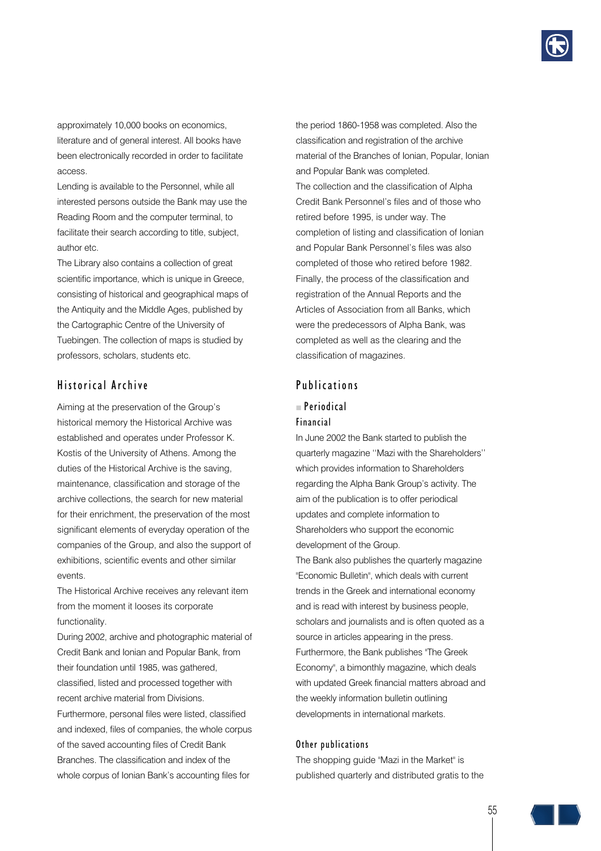

approximately 10,000 books on economics, literature and of general interest. All books have been electronically recorded in order to facilitate access.

Lending is available to the Personnel, while all interested persons outside the Bank may use the Reading Room and the computer terminal, to facilitate their search according to title, subject, author etc.

The Library also contains a collection of great scientific importance, which is unique in Greece, consisting of historical and geographical maps of the Antiquity and the Middle Ages, published by the Cartographic Centre of the University of Tuebingen. The collection of maps is studied by professors, scholars, students etc.

## Historical Archive

Aiming at the preservation of the Group's historical memory the Historical Archive was established and operates under Professor K. Kostis of the University of Athens. Among the duties of the Historical Archive is the saving, maintenance, classification and storage of the archive collections, the search for new material for their enrichment, the preservation of the most significant elements of everyday operation of the companies of the Group, and also the support of exhibitions, scientific events and other similar events.

The Historical Archive receives any relevant item from the moment it looses its corporate functionality.

During 2002, archive and photographic material of Credit Bank and Ionian and Popular Bank, from their foundation until 1985, was gathered, classified, listed and processed together with recent archive material from Divisions. Furthermore, personal files were listed, classified and indexed, files of companies, the whole corpus of the saved accounting files of Credit Bank Branches. The classification and index of the whole corpus of Ionian Bank's accounting files for

the period 1860-1958 was completed. Also the classification and registration of the archive material of the Branches of Ionian, Popular, Ionian and Popular Bank was completed. The collection and the classification of Alpha Credit Bank Personnel's files and of those who retired before 1995, is under way. The completion of listing and classification of Ionian and Popular Bank Personnel's files was also completed of those who retired before 1982. Finally, the process of the classification and registration of the Annual Reports and the Articles of Association from all Banks, which were the predecessors of Alpha Bank, was completed as well as the clearing and the classification of magazines.

## Publications

# $P<sub>eriodical</sub>$

#### Financial

In June 2002 the Bank started to publish the quarterly magazine ''Mazi with the Shareholders'' which provides information to Shareholders regarding the Alpha Bank Group's activity. The aim of the publication is to offer periodical updates and complete information to Shareholders who support the economic development of the Group.

The Bank also publishes the quarterly magazine "Economic Bulletin", which deals with current trends in the Greek and international economy and is read with interest by business people, scholars and journalists and is often quoted as a source in articles appearing in the press. Furthermore, the Bank publishes "The Greek Economy", a bimonthly magazine, which deals with updated Greek financial matters abroad and the weekly information bulletin outlining developments in international markets.

#### Other publications

The shopping guide "Mazi in the Market" is published quarterly and distributed gratis to the

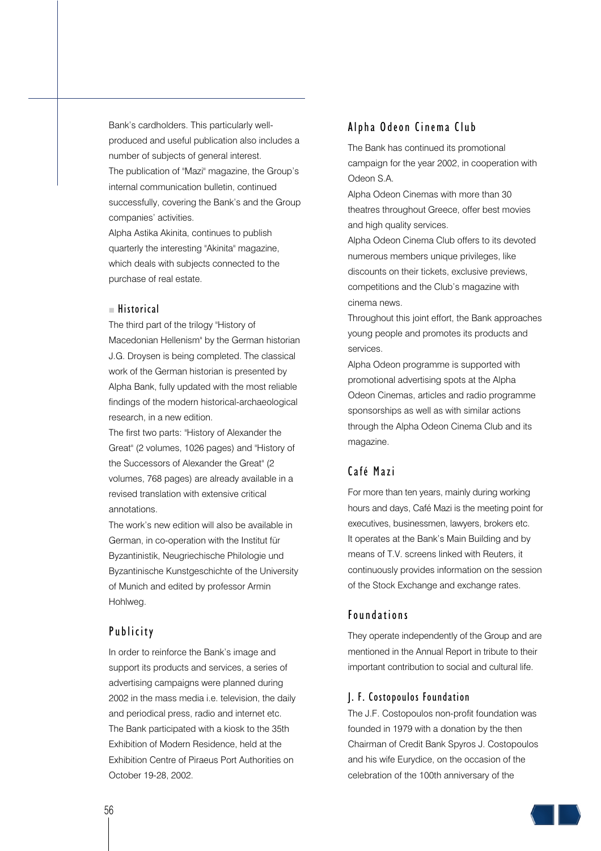Bank's cardholders. This particularly wellproduced and useful publication also includes a number of subjects of general interest. The publication of "Mazi" magazine, the Group's internal communication bulletin, continued successfully, covering the Bank's and the Group companies' activities.

Alpha Astika Akinita, continues to publish quarterly the interesting "Akinita" magazine, which deals with subjects connected to the purchase of real estate.

#### $H$  Historical

The third part of the trilogy "History of Macedonian Hellenism" by the German historian J.G. Droysen is being completed. The classical work of the German historian is presented by Alpha Bank, fully updated with the most reliable findings of the modern historical-archaeological research, in a new edition.

The first two parts: "History of Alexander the Great" (2 volumes, 1026 pages) and "History of the Successors of Alexander the Great" (2 volumes, 768 pages) are already available in a revised translation with extensive critical annotations.

The work's new edition will also be available in German, in co-operation with the Institut für Byzantinistik, Neugriechische Philologie und Byzantinische Kunstgeschichte of the University of Munich and edited by professor Armin Hohlweg.

# Publicity

In order to reinforce the Bank's image and support its products and services, a series of advertising campaigns were planned during 2002 in the mass media i.e. television, the daily and periodical press, radio and internet etc. The Bank participated with a kiosk to the 35th Exhibition of Modern Residence, held at the Exhibition Centre of Piraeus Port Authorities on October 19-28, 2002.

## Alpha Odeon Cinema Club

The Bank has continued its promotional campaign for the year 2002, in cooperation with Odeon S.A.

Alpha Odeon Cinemas with more than 30 theatres throughout Greece, offer best movies and high quality services.

Alpha Odeon Cinema Club offers to its devoted numerous members unique privileges, like discounts on their tickets, exclusive previews, competitions and the Club's magazine with cinema news.

Throughout this joint effort, the Bank approaches young people and promotes its products and services.

Alpha Odeon programme is supported with promotional advertising spots at the Alpha Odeon Cinemas, articles and radio programme sponsorships as well as with similar actions through the Alpha Odeon Cinema Club and its magazine.

# Café Mazi

For more than ten years, mainly during working hours and days, Café Mazi is the meeting point for executives, businessmen, lawyers, brokers etc. It operates at the Bank's Main Building and by means of T.V. screens linked with Reuters, it continuously provides information on the session of the Stock Exchange and exchange rates.

## Foundations

They operate independently of the Group and are mentioned in the Annual Report in tribute to their important contribution to social and cultural life.

#### J. F. Costopoulos Foundation

The J.F. Costopoulos non-profit foundation was founded in 1979 with a donation by the then Chairman of Credit Bank Spyros J. Costopoulos and his wife Eurydice, on the occasion of the celebration of the 100th anniversary of the